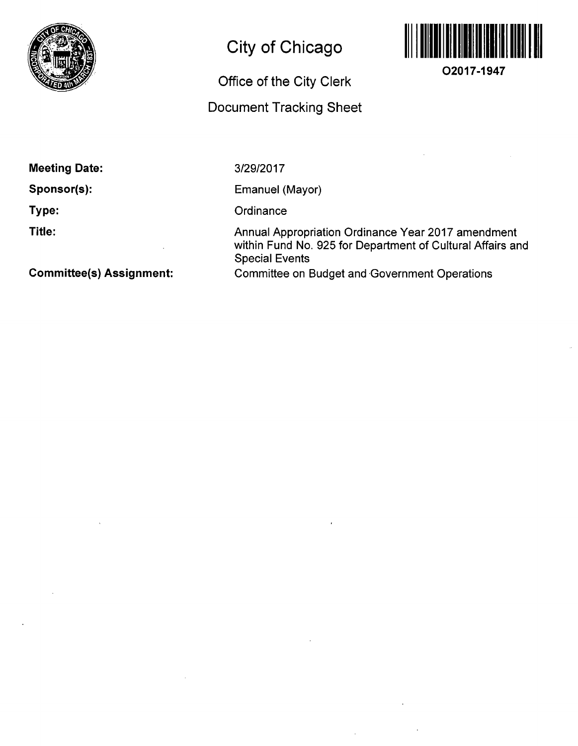

# **City of Chicago**

## **Office of the City Clerk**

## **Document Tracking Sheet**



**O2017-1947** 

**Meeting Date:** 

**Sponsor(s):** 

**Type:** 

**Title:** 

3/29/2017

Emanuel (Mayor)

**Ordinance** 

Annual Appropriation Ordinance Year 2017 amendment within Fund No. 925 for Department of Cultural Affairs and Special Events Committee on Budget and Government Operations

**Committee(s) Assignment:**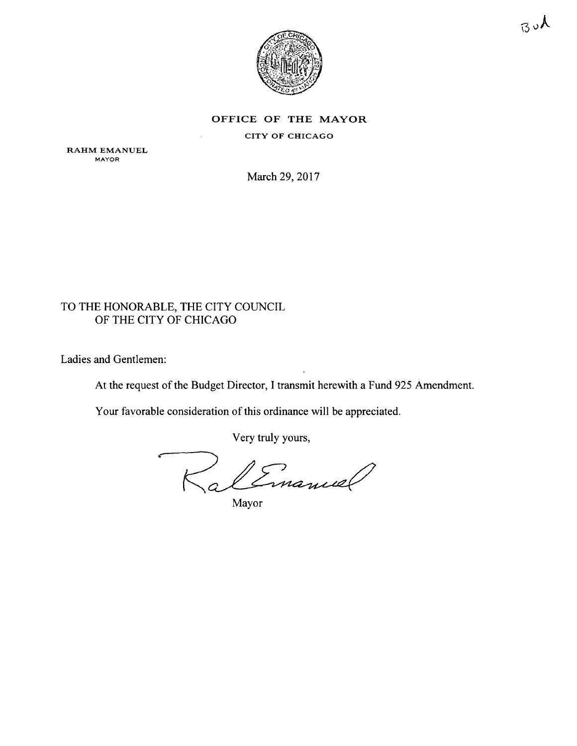

OFFICE OF THE MAYOR

CITY OF CHICAGO

RAHM EMANUEL MAYOR

March 29, 2017

## TO THE HONORABLE, THE CITY COUNCIL OF THE CITY OF CHICAGO

Ladies and Gentlemen:

At the request of the Budget Director, I transmit herewith a Fund 925 Amendment.

Your favorable consideration of this ordinance will be appreciated.

Very truly yours,

alEmanuel

Mayor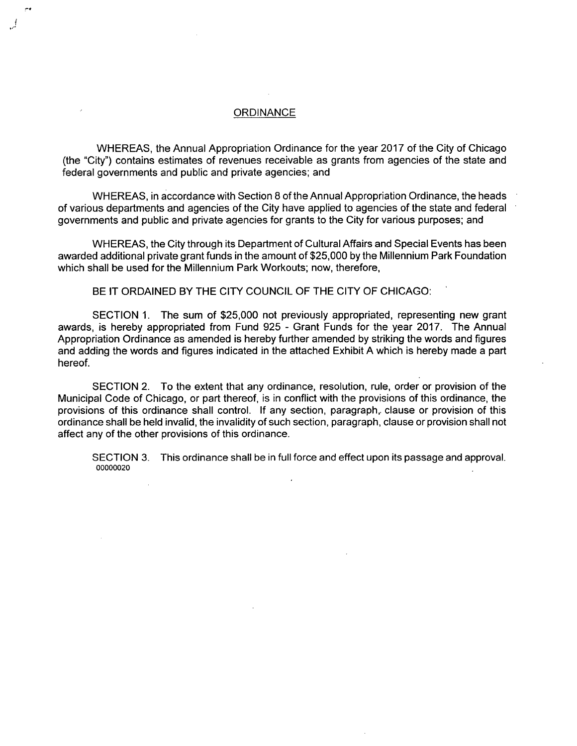### **ORDINANCE**

WHEREAS, the Annual Appropriation Ordinance for the year 2017 of the City of Chicago (the "City") contains estimates of revenues receivable as grants from agencies of the state and federal governments and public and private agencies; and

WHEREAS, in accordance with Section 8 of the Annual Appropriation Ordinance, the heads of various departments and agencies of the City have applied to agencies of the state and federal governments and public and private agencies for grants to the City for various purposes; and

WHEREAS, the City through its Department of Cultural Affairs and Special Events has been awarded additional private grant funds in the amount of \$25,000 by the Millennium Park Foundation which shall be used for the Millennium Park Workouts; now, therefore,

BE IT ORDAINED BY THE CITY COUNCIL OF THE CITY OF CHICAGO:

SECTION 1. The sum of \$25,000 not previously appropriated, representing new grant awards, is hereby appropriated from Fund 925 - Grant Funds for the year 2017. The Annual Appropriation Ordinance as amended is hereby further amended by striking the words and figures and adding the words and figures indicated in the attached Exhibit A which is hereby made a part hereof.

SECTION 2. To the extent that any ordinance, resolution, rule, order or provision of the Municipal Code of Chicago, or part thereof, is in conflict with the provisions of this ordinance, the provisions of this ordinance shall control. If any section, paragraph,, clause or provision of this ordinance shall be held invalid, the invalidity of such section, paragraph, clause or provision shall not affect any of the other provisions of this ordinance.

SECTION 3. This ordinance shall be in full force and effect upon its passage and approval. 00000020